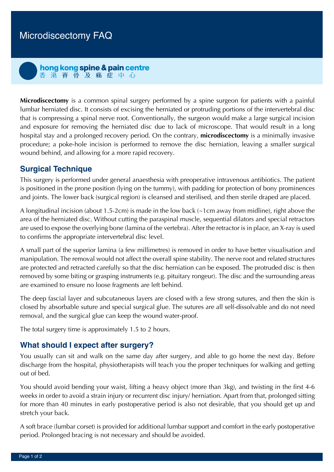hong kong spine & pain centre 香港脊骨及痛症中心

**Microdiscectomy** is a common spinal surgery performed by a spine surgeon for patients with a painful lumbar herniated disc. It consists of excising the herniated or protruding portions of the intervertebral disc that is compressing a spinal nerve root. Conventionally, the surgeon would make a large surgical incision and exposure for removing the herniated disc due to lack of microscope. That would result in a long hospital stay and a prolonged recovery period. On the contrary, **microdiscectomy** is a minimally invasive procedure; a poke-hole incision is performed to remove the disc herniation, leaving a smaller surgical wound behind, and allowing for a more rapid recovery.

# **Surgical Technique**

This surgery is performed under general anaesthesia with preoperative intravenous antibiotics. The patient is positioned in the prone position (lying on the tummy), with padding for protection of bony prominences and joints. The lower back (surgical region) is cleansed and sterilised, and then sterile draped are placed.

A longitudinal incision (about 1.5-2cm) is made in the low back (~1cm away from midline), right above the area of the herniated disc. Without cutting the paraspinal muscle, sequential dilators and special retractors are used to expose the overlying bone (lamina of the vertebra). After the retractor is in place, an X-ray is used to confirms the appropriate intervertebral disc level.

A small part of the superior lamina (a few millimetres) is removed in order to have better visualisation and manipulation. The removal would not affect the overall spine stability. The nerve root and related structures are protected and retracted carefully so that the disc herniation can be exposed. The protruded disc is then removed by some biting or grasping instruments (e.g. pituitary rongeur). The disc and the surrounding areas are examined to ensure no loose fragments are left behind.

The deep fascial layer and subcutaneous layers are closed with a few strong sutures, and then the skin is closed by absorbable suture and special surgical glue. The sutures are all self-dissolvable and do not need removal, and the surgical glue can keep the wound water-proof.

The total surgery time is approximately 1.5 to 2 hours.

## **What should I expect after surgery?**

You usually can sit and walk on the same day after surgery, and able to go home the next day. Before discharge from the hospital, physiotherapists will teach you the proper techniques for walking and getting out of bed.

You should avoid bending your waist, lifting a heavy object (more than 3kg), and twisting in the first 4-6 weeks in order to avoid a strain injury or recurrent disc injury/ herniation. Apart from that, prolonged sitting for more than 40 minutes in early postoperative period is also not desirable, that you should get up and stretch your back.

A soft brace (lumbar corset) is provided for additional lumbar support and comfort in the early postoperative period. Prolonged bracing is not necessary and should be avoided.